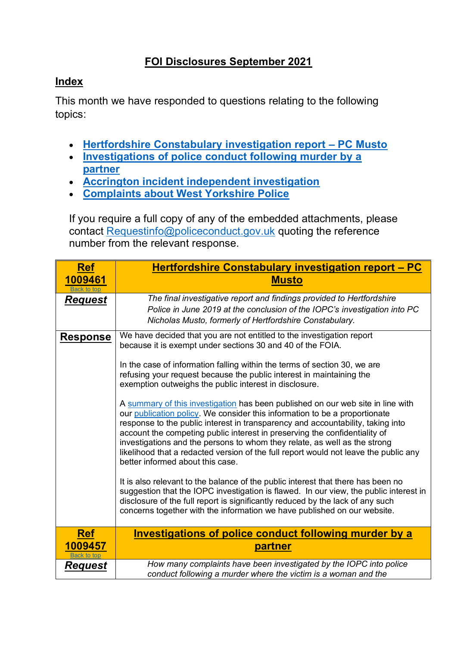## **FOI Disclosures September 2021**

## <span id="page-0-2"></span>**Index**

This month we have responded to questions relating to the following topics:

- **[Hertfordshire Constabulary investigation report](#page-0-0) – PC Musto**
- **[Investigations of police conduct following murder by a](#page-0-1)  [partner](#page-0-1)**
- **[Accrington incident independent investigation](#page-1-0)**
- **[Complaints about West Yorkshire Police](#page-2-0)**

If you require a full copy of any of the embedded attachments, please contact [Requestinfo@policeconduct.gov.uk](mailto:Requestinfo@policeconduct.gov.uk) quoting the reference number from the relevant response.

<span id="page-0-1"></span><span id="page-0-0"></span>

| <b>Ref</b>             | Hertfordshire Constabulary investigation report - PC                                                                                                                                                                                                                                                                                                                                                                                                                                                                                    |
|------------------------|-----------------------------------------------------------------------------------------------------------------------------------------------------------------------------------------------------------------------------------------------------------------------------------------------------------------------------------------------------------------------------------------------------------------------------------------------------------------------------------------------------------------------------------------|
| 1009461<br>Back to top | <b>Musto</b>                                                                                                                                                                                                                                                                                                                                                                                                                                                                                                                            |
| <b>Request</b>         | The final investigative report and findings provided to Hertfordshire<br>Police in June 2019 at the conclusion of the IOPC's investigation into PC<br>Nicholas Musto, formerly of Hertfordshire Constabulary.                                                                                                                                                                                                                                                                                                                           |
| <u>Response</u>        | We have decided that you are not entitled to the investigation report<br>because it is exempt under sections 30 and 40 of the FOIA.<br>In the case of information falling within the terms of section 30, we are<br>refusing your request because the public interest in maintaining the<br>exemption outweighs the public interest in disclosure.                                                                                                                                                                                      |
|                        | A summary of this investigation has been published on our web site in line with<br>our publication policy. We consider this information to be a proportionate<br>response to the public interest in transparency and accountability, taking into<br>account the competing public interest in preserving the confidentiality of<br>investigations and the persons to whom they relate, as well as the strong<br>likelihood that a redacted version of the full report would not leave the public any<br>better informed about this case. |
|                        | It is also relevant to the balance of the public interest that there has been no<br>suggestion that the IOPC investigation is flawed. In our view, the public interest in<br>disclosure of the full report is significantly reduced by the lack of any such<br>concerns together with the information we have published on our website.                                                                                                                                                                                                 |
| <b>Ref</b><br>1009457  | <b>Investigations of police conduct following murder by a</b><br>partner                                                                                                                                                                                                                                                                                                                                                                                                                                                                |
| ck to toc              |                                                                                                                                                                                                                                                                                                                                                                                                                                                                                                                                         |
| <b>Request</b>         | How many complaints have been investigated by the IOPC into police<br>conduct following a murder where the victim is a woman and the                                                                                                                                                                                                                                                                                                                                                                                                    |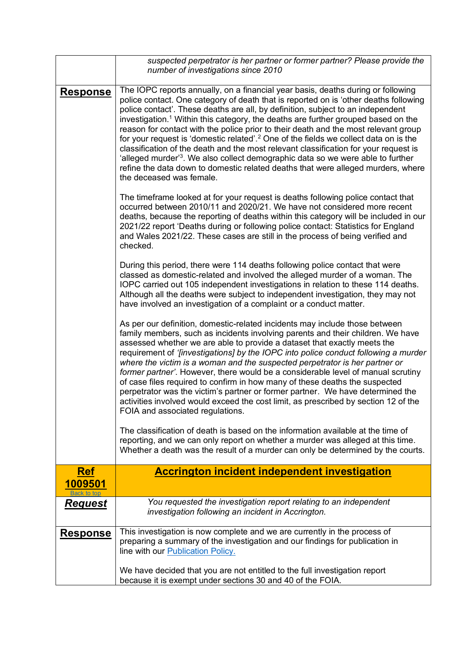<span id="page-1-0"></span>

|                       | suspected perpetrator is her partner or former partner? Please provide the<br>number of investigations since 2010                                                                                                                                                                                                                                                                                                                                                                                                                                                                                                                                                                                                                                                                                                                                              |
|-----------------------|----------------------------------------------------------------------------------------------------------------------------------------------------------------------------------------------------------------------------------------------------------------------------------------------------------------------------------------------------------------------------------------------------------------------------------------------------------------------------------------------------------------------------------------------------------------------------------------------------------------------------------------------------------------------------------------------------------------------------------------------------------------------------------------------------------------------------------------------------------------|
| <b>Response</b>       | The IOPC reports annually, on a financial year basis, deaths during or following<br>police contact. One category of death that is reported on is 'other deaths following<br>police contact'. These deaths are all, by definition, subject to an independent<br>investigation. <sup>1</sup> Within this category, the deaths are further grouped based on the<br>reason for contact with the police prior to their death and the most relevant group<br>for your request is 'domestic related'. <sup>2</sup> One of the fields we collect data on is the<br>classification of the death and the most relevant classification for your request is<br>'alleged murder' <sup>3</sup> . We also collect demographic data so we were able to further<br>refine the data down to domestic related deaths that were alleged murders, where<br>the deceased was female. |
|                       | The timeframe looked at for your request is deaths following police contact that<br>occurred between 2010/11 and 2020/21. We have not considered more recent<br>deaths, because the reporting of deaths within this category will be included in our<br>2021/22 report 'Deaths during or following police contact: Statistics for England<br>and Wales 2021/22. These cases are still in the process of being verified and<br>checked.                                                                                                                                                                                                                                                                                                                                                                                                                         |
|                       | During this period, there were 114 deaths following police contact that were<br>classed as domestic-related and involved the alleged murder of a woman. The<br>IOPC carried out 105 independent investigations in relation to these 114 deaths.<br>Although all the deaths were subject to independent investigation, they may not<br>have involved an investigation of a complaint or a conduct matter.                                                                                                                                                                                                                                                                                                                                                                                                                                                       |
|                       | As per our definition, domestic-related incidents may include those between<br>family members, such as incidents involving parents and their children. We have<br>assessed whether we are able to provide a dataset that exactly meets the<br>requirement of '[investigations] by the IOPC into police conduct following a murder<br>where the victim is a woman and the suspected perpetrator is her partner or<br>former partner'. However, there would be a considerable level of manual scrutiny<br>of case files required to confirm in how many of these deaths the suspected<br>perpetrator was the victim's partner or former partner. We have determined the<br>activities involved would exceed the cost limit, as prescribed by section 12 of the<br>FOIA and associated regulations.                                                               |
|                       | The classification of death is based on the information available at the time of<br>reporting, and we can only report on whether a murder was alleged at this time.<br>Whether a death was the result of a murder can only be determined by the courts.                                                                                                                                                                                                                                                                                                                                                                                                                                                                                                                                                                                                        |
| <u>Ref</u><br>1009501 | <b>Accrington incident independent investigation</b>                                                                                                                                                                                                                                                                                                                                                                                                                                                                                                                                                                                                                                                                                                                                                                                                           |
| <u>Request</u>        | You requested the investigation report relating to an independent<br>investigation following an incident in Accrington.                                                                                                                                                                                                                                                                                                                                                                                                                                                                                                                                                                                                                                                                                                                                        |
| <u>Response</u>       | This investigation is now complete and we are currently in the process of<br>preparing a summary of the investigation and our findings for publication in<br>line with our <b>Publication Policy.</b>                                                                                                                                                                                                                                                                                                                                                                                                                                                                                                                                                                                                                                                          |
|                       | We have decided that you are not entitled to the full investigation report<br>because it is exempt under sections 30 and 40 of the FOIA.                                                                                                                                                                                                                                                                                                                                                                                                                                                                                                                                                                                                                                                                                                                       |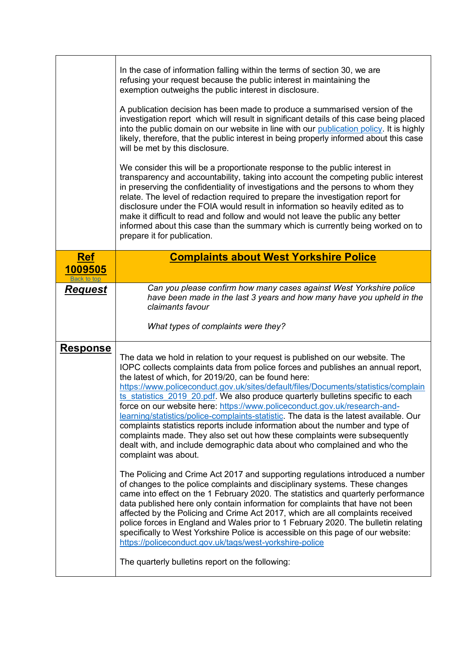<span id="page-2-0"></span>

|                                      | In the case of information falling within the terms of section 30, we are<br>refusing your request because the public interest in maintaining the<br>exemption outweighs the public interest in disclosure.<br>A publication decision has been made to produce a summarised version of the<br>investigation report which will result in significant details of this case being placed<br>into the public domain on our website in line with our publication policy. It is highly<br>likely, therefore, that the public interest in being properly informed about this case<br>will be met by this disclosure.<br>We consider this will be a proportionate response to the public interest in<br>transparency and accountability, taking into account the competing public interest<br>in preserving the confidentiality of investigations and the persons to whom they<br>relate. The level of redaction required to prepare the investigation report for<br>disclosure under the FOIA would result in information so heavily edited as to<br>make it difficult to read and follow and would not leave the public any better<br>informed about this case than the summary which is currently being worked on to<br>prepare it for publication.                                                                                                                                                                                                                                                                                                                   |
|--------------------------------------|------------------------------------------------------------------------------------------------------------------------------------------------------------------------------------------------------------------------------------------------------------------------------------------------------------------------------------------------------------------------------------------------------------------------------------------------------------------------------------------------------------------------------------------------------------------------------------------------------------------------------------------------------------------------------------------------------------------------------------------------------------------------------------------------------------------------------------------------------------------------------------------------------------------------------------------------------------------------------------------------------------------------------------------------------------------------------------------------------------------------------------------------------------------------------------------------------------------------------------------------------------------------------------------------------------------------------------------------------------------------------------------------------------------------------------------------------------------------------------------------------------------------------------------------------------------|
| <b>Ref</b><br>1009505<br>Back to top | <b>Complaints about West Yorkshire Police</b>                                                                                                                                                                                                                                                                                                                                                                                                                                                                                                                                                                                                                                                                                                                                                                                                                                                                                                                                                                                                                                                                                                                                                                                                                                                                                                                                                                                                                                                                                                                    |
| <b>Request</b>                       | Can you please confirm how many cases against West Yorkshire police<br>have been made in the last 3 years and how many have you upheld in the<br>claimants favour<br>What types of complaints were they?                                                                                                                                                                                                                                                                                                                                                                                                                                                                                                                                                                                                                                                                                                                                                                                                                                                                                                                                                                                                                                                                                                                                                                                                                                                                                                                                                         |
| <b>Response</b>                      | The data we hold in relation to your request is published on our website. The<br>IOPC collects complaints data from police forces and publishes an annual report,<br>the latest of which, for 2019/20, can be found here:<br>https://www.policeconduct.gov.uk/sites/default/files/Documents/statistics/complain<br>ts statistics 2019 20.pdf. We also produce quarterly bulletins specific to each<br>force on our website here: https://www.policeconduct.gov.uk/research-and-<br>learning/statistics/police-complaints-statistic. The data is the latest available. Our<br>complaints statistics reports include information about the number and type of<br>complaints made. They also set out how these complaints were subsequently<br>dealt with, and include demographic data about who complained and who the<br>complaint was about.<br>The Policing and Crime Act 2017 and supporting regulations introduced a number<br>of changes to the police complaints and disciplinary systems. These changes<br>came into effect on the 1 February 2020. The statistics and quarterly performance<br>data published here only contain information for complaints that have not been<br>affected by the Policing and Crime Act 2017, which are all complaints received<br>police forces in England and Wales prior to 1 February 2020. The bulletin relating<br>specifically to West Yorkshire Police is accessible on this page of our website:<br>https://policeconduct.gov.uk/tags/west-yorkshire-police<br>The quarterly bulletins report on the following: |